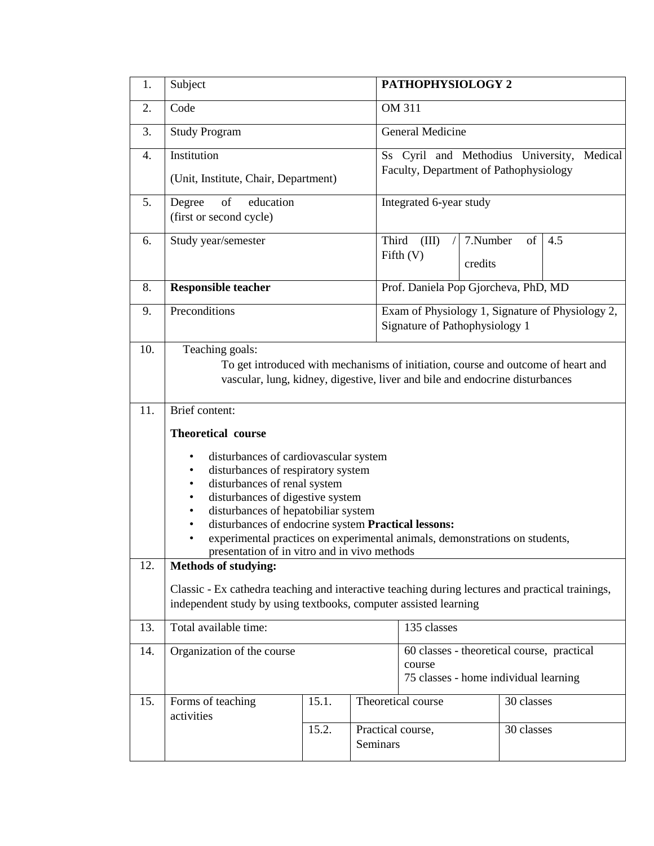| 1.  | Subject                                                                                                                                                                                                                                                                                                                                                                                                    |       |          | PATHOPHYSIOLOGY 2                                                                             |                     |            |     |
|-----|------------------------------------------------------------------------------------------------------------------------------------------------------------------------------------------------------------------------------------------------------------------------------------------------------------------------------------------------------------------------------------------------------------|-------|----------|-----------------------------------------------------------------------------------------------|---------------------|------------|-----|
| 2.  | Code                                                                                                                                                                                                                                                                                                                                                                                                       |       |          | OM 311                                                                                        |                     |            |     |
| 3.  | <b>Study Program</b>                                                                                                                                                                                                                                                                                                                                                                                       |       |          | General Medicine                                                                              |                     |            |     |
| 4.  | Institution<br>(Unit, Institute, Chair, Department)                                                                                                                                                                                                                                                                                                                                                        |       |          | Ss Cyril and Methodius University,<br>Medical<br>Faculty, Department of Pathophysiology       |                     |            |     |
| 5.  | of<br>education<br>Degree<br>(first or second cycle)                                                                                                                                                                                                                                                                                                                                                       |       |          | Integrated 6-year study                                                                       |                     |            |     |
| 6.  | Study year/semester                                                                                                                                                                                                                                                                                                                                                                                        |       | Third    | (III)<br>Fifth $(V)$                                                                          | 7.Number<br>credits | of         | 4.5 |
| 8.  | <b>Responsible teacher</b>                                                                                                                                                                                                                                                                                                                                                                                 |       |          | Prof. Daniela Pop Gjorcheva, PhD, MD                                                          |                     |            |     |
| 9.  | Preconditions                                                                                                                                                                                                                                                                                                                                                                                              |       |          | Exam of Physiology 1, Signature of Physiology 2,<br>Signature of Pathophysiology 1            |                     |            |     |
| 10. | Teaching goals:<br>To get introduced with mechanisms of initiation, course and outcome of heart and<br>vascular, lung, kidney, digestive, liver and bile and endocrine disturbances                                                                                                                                                                                                                        |       |          |                                                                                               |                     |            |     |
| 11. | Brief content:                                                                                                                                                                                                                                                                                                                                                                                             |       |          |                                                                                               |                     |            |     |
|     | <b>Theoretical course</b>                                                                                                                                                                                                                                                                                                                                                                                  |       |          |                                                                                               |                     |            |     |
|     | disturbances of cardiovascular system<br>$\bullet$<br>disturbances of respiratory system<br>$\bullet$<br>disturbances of renal system<br>$\bullet$<br>disturbances of digestive system<br>$\bullet$<br>disturbances of hepatobiliar system<br>$\bullet$<br>disturbances of endocrine system Practical lessons:<br>$\bullet$<br>experimental practices on experimental animals, demonstrations on students, |       |          |                                                                                               |                     |            |     |
| 12. | presentation of in vitro and in vivo methods<br><b>Methods of studying:</b>                                                                                                                                                                                                                                                                                                                                |       |          |                                                                                               |                     |            |     |
|     | Classic - Ex cathedra teaching and interactive teaching during lectures and practical trainings,<br>independent study by using textbooks, computer assisted learning                                                                                                                                                                                                                                       |       |          |                                                                                               |                     |            |     |
| 13. | Total available time:                                                                                                                                                                                                                                                                                                                                                                                      |       |          | 135 classes                                                                                   |                     |            |     |
| 14. | Organization of the course                                                                                                                                                                                                                                                                                                                                                                                 |       |          | 60 classes - theoretical course, practical<br>course<br>75 classes - home individual learning |                     |            |     |
| 15. | Forms of teaching                                                                                                                                                                                                                                                                                                                                                                                          | 15.1. |          | Theoretical course                                                                            |                     | 30 classes |     |
|     | activities                                                                                                                                                                                                                                                                                                                                                                                                 | 15.2. | Seminars | Practical course,                                                                             |                     | 30 classes |     |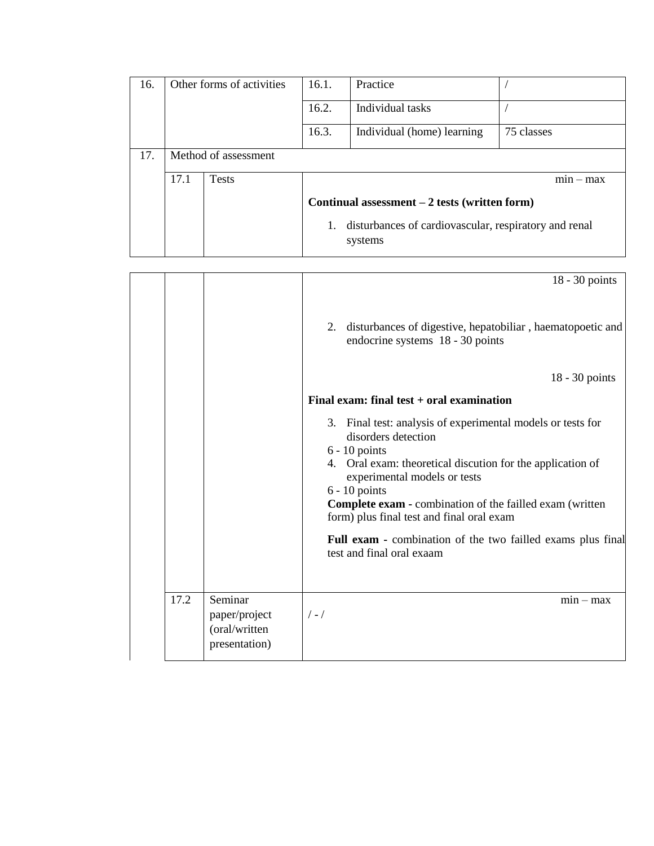| 16. | Other forms of activities |              | 16.1.                                                            | Practice                   |             |  |  |
|-----|---------------------------|--------------|------------------------------------------------------------------|----------------------------|-------------|--|--|
|     |                           |              | 16.2.                                                            | Individual tasks           |             |  |  |
|     |                           |              | 16.3.                                                            | Individual (home) learning | 75 classes  |  |  |
| 17. | Method of assessment      |              |                                                                  |                            |             |  |  |
|     | 17.1                      | <b>Tests</b> |                                                                  |                            | $min - max$ |  |  |
|     |                           |              | Continual assessment $-2$ tests (written form)                   |                            |             |  |  |
|     |                           |              | disturbances of cardiovascular, respiratory and renal<br>systems |                            |             |  |  |

|      |                                                            | 18 - 30 points                                                                                                                                                                                                                                                                                                                                                                                                                     |
|------|------------------------------------------------------------|------------------------------------------------------------------------------------------------------------------------------------------------------------------------------------------------------------------------------------------------------------------------------------------------------------------------------------------------------------------------------------------------------------------------------------|
|      |                                                            | 2. disturbances of digestive, hepatobiliar, haematopoetic and<br>endocrine systems 18 - 30 points                                                                                                                                                                                                                                                                                                                                  |
|      |                                                            | $18 - 30$ points                                                                                                                                                                                                                                                                                                                                                                                                                   |
|      |                                                            | Final exam: final test + oral examination                                                                                                                                                                                                                                                                                                                                                                                          |
|      |                                                            | 3. Final test: analysis of experimental models or tests for<br>disorders detection<br>$6 - 10$ points<br>4. Oral exam: theoretical discution for the application of<br>experimental models or tests<br>$6 - 10$ points<br><b>Complete exam - combination of the failled exam (written</b><br>form) plus final test and final oral exam<br>Full exam - combination of the two failled exams plus final<br>test and final oral exaam |
| 17.2 | Seminar<br>paper/project<br>(oral/written<br>presentation) | $min - max$<br>$/ - /$                                                                                                                                                                                                                                                                                                                                                                                                             |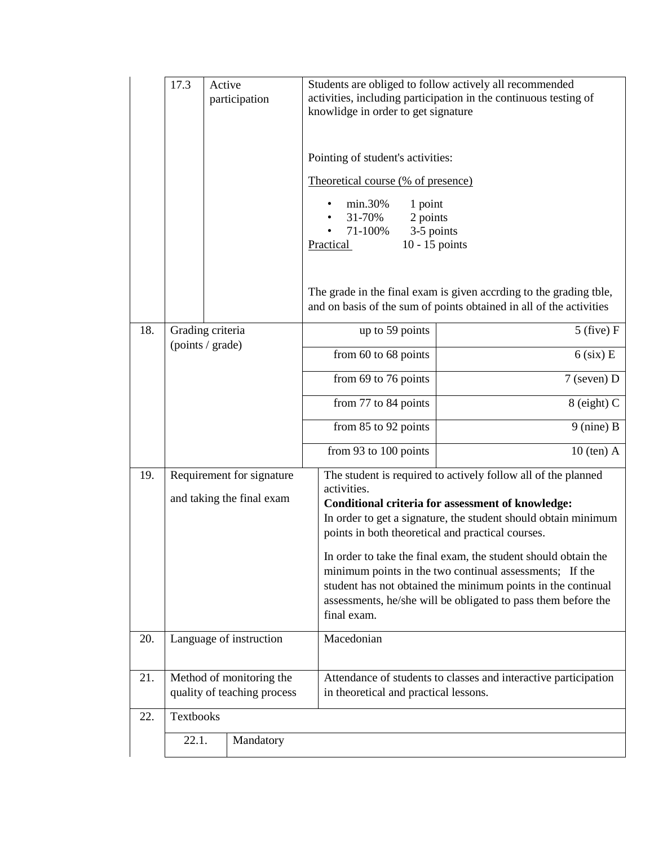|                                                               | 17.3                                                    | Active | participation | Students are obliged to follow actively all recommended<br>activities, including participation in the continuous testing of<br>knowlidge in order to get signature<br>Pointing of student's activities:<br>Theoretical course (% of presence)<br>min.30%<br>1 point<br>31-70%<br>2 points<br>71-100%<br>3-5 points<br>Practical<br>$10 - 15$ points |                                                                                                                                                                                             |  |  |  |
|---------------------------------------------------------------|---------------------------------------------------------|--------|---------------|-----------------------------------------------------------------------------------------------------------------------------------------------------------------------------------------------------------------------------------------------------------------------------------------------------------------------------------------------------|---------------------------------------------------------------------------------------------------------------------------------------------------------------------------------------------|--|--|--|
|                                                               |                                                         |        |               |                                                                                                                                                                                                                                                                                                                                                     |                                                                                                                                                                                             |  |  |  |
|                                                               |                                                         |        |               |                                                                                                                                                                                                                                                                                                                                                     | The grade in the final exam is given accrding to the grading tble,<br>and on basis of the sum of points obtained in all of the activities                                                   |  |  |  |
| 18.                                                           | Grading criteria<br>(points / grade)                    |        |               | up to 59 points                                                                                                                                                                                                                                                                                                                                     | $5$ (five) F                                                                                                                                                                                |  |  |  |
|                                                               |                                                         |        |               | from 60 to 68 points                                                                                                                                                                                                                                                                                                                                | $6$ (six) E                                                                                                                                                                                 |  |  |  |
|                                                               |                                                         |        |               | from 69 to 76 points                                                                                                                                                                                                                                                                                                                                | $7$ (seven) D                                                                                                                                                                               |  |  |  |
|                                                               |                                                         |        |               | from 77 to 84 points                                                                                                                                                                                                                                                                                                                                | $8$ (eight) C                                                                                                                                                                               |  |  |  |
|                                                               |                                                         |        |               | from 85 to 92 points                                                                                                                                                                                                                                                                                                                                | $9$ (nine) B                                                                                                                                                                                |  |  |  |
|                                                               |                                                         |        |               | from 93 to 100 points                                                                                                                                                                                                                                                                                                                               | $10$ (ten) A                                                                                                                                                                                |  |  |  |
| Requirement for signature<br>19.<br>and taking the final exam |                                                         |        |               | activities.<br>points in both theoretical and practical courses.                                                                                                                                                                                                                                                                                    | The student is required to actively follow all of the planned<br><b>Conditional criteria for assessment of knowledge:</b><br>In order to get a signature, the student should obtain minimum |  |  |  |
|                                                               |                                                         |        |               | In order to take the final exam, the student should obtain the<br>minimum points in the two continual assessments; If the<br>student has not obtained the minimum points in the continual<br>assessments, he/she will be obligated to pass them before the<br>final exam.                                                                           |                                                                                                                                                                                             |  |  |  |
| 20.                                                           | Language of instruction                                 |        |               | Macedonian                                                                                                                                                                                                                                                                                                                                          |                                                                                                                                                                                             |  |  |  |
| 21.                                                           | Method of monitoring the<br>quality of teaching process |        |               |                                                                                                                                                                                                                                                                                                                                                     | Attendance of students to classes and interactive participation<br>in theoretical and practical lessons.                                                                                    |  |  |  |
| 22.                                                           | <b>Textbooks</b>                                        |        |               |                                                                                                                                                                                                                                                                                                                                                     |                                                                                                                                                                                             |  |  |  |
|                                                               | 22.1.                                                   |        | Mandatory     |                                                                                                                                                                                                                                                                                                                                                     |                                                                                                                                                                                             |  |  |  |